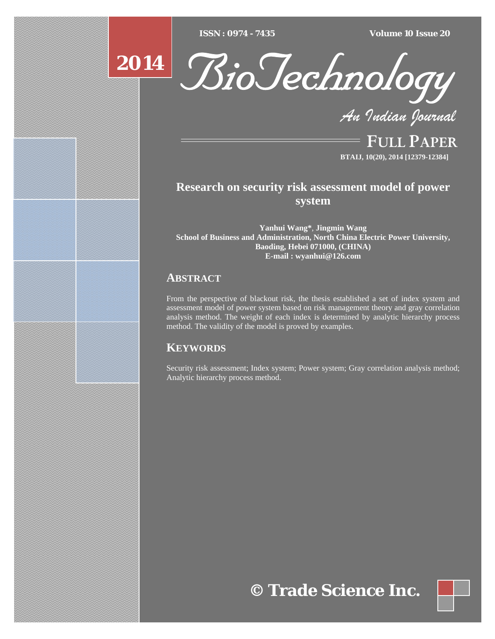$ISSN : 0974 - 7435$ 

*ISSN : 0974 - 7435 Volume 10 Issue 20*



*An Indian Journal*

FULL PAPER **BTAIJ, 10(20), 2014 [12379-12384]**

# **Research on security risk assessment model of power system**

**Yanhui Wang\***, **Jingmin Wang School of Business and Administration, North China Electric Power University, Baoding, Hebei 071000, (CHINA) E-mail : wyanhui@126.com**

## **ABSTRACT**

**2014**

From the perspective of blackout risk, the thesis established a set of index system and assessment model of power system based on risk management theory and gray correlation analysis method. The weight of each index is determined by analytic hierarchy process method. The validity of the model is proved by examples.

## **KEYWORDS**

Security risk assessment; Index system; Power system; Gray correlation analysis method; Analytic hierarchy process method.

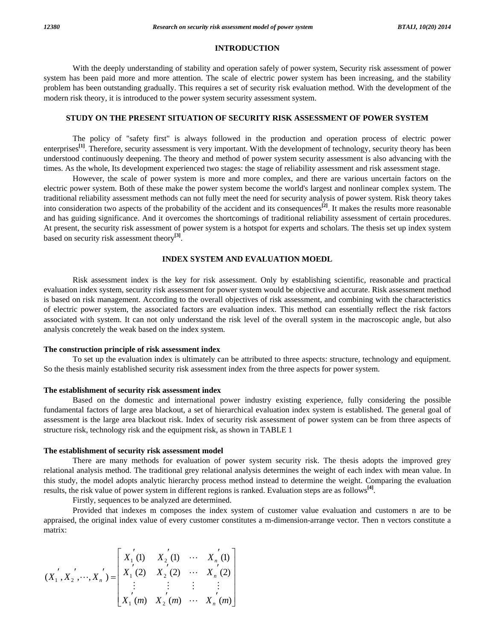#### **INTRODUCTION**

 With the deeply understanding of stability and operation safely of power system, Security risk assessment of power system has been paid more and more attention. The scale of electric power system has been increasing, and the stability problem has been outstanding gradually. This requires a set of security risk evaluation method. With the development of the modern risk theory, it is introduced to the power system security assessment system.

### **STUDY ON THE PRESENT SITUATION OF SECURITY RISK ASSESSMENT OF POWER SYSTEM**

 The policy of "safety first" is always followed in the production and operation process of electric power enterprises<sup>[1]</sup>. Therefore, security assessment is very important. With the development of technology, security theory has been understood continuously deepening. The theory and method of power system security assessment is also advancing with the times. As the whole, Its development experienced two stages: the stage of reliability assessment and risk assessment stage.

 However, the scale of power system is more and more complex, and there are various uncertain factors on the electric power system. Both of these make the power system become the world's largest and nonlinear complex system. The traditional reliability assessment methods can not fully meet the need for security analysis of power system. Risk theory takes into consideration two aspects of the probability of the accident and its consequences**[2]**. It makes the results more reasonable and has guiding significance. And it overcomes the shortcomings of traditional reliability assessment of certain procedures. At present, the security risk assessment of power system is a hotspot for experts and scholars. The thesis set up index system based on security risk assessment theory**[3]**.

### **INDEX SYSTEM AND EVALUATION MOEDL**

 Risk assessment index is the key for risk assessment. Only by establishing scientific, reasonable and practical evaluation index system, security risk assessment for power system would be objective and accurate. Risk assessment method is based on risk management. According to the overall objectives of risk assessment, and combining with the characteristics of electric power system, the associated factors are evaluation index. This method can essentially reflect the risk factors associated with system. It can not only understand the risk level of the overall system in the macroscopic angle, but also analysis concretely the weak based on the index system.

#### **The construction principle of risk assessment index**

 To set up the evaluation index is ultimately can be attributed to three aspects: structure, technology and equipment. So the thesis mainly established security risk assessment index from the three aspects for power system.

### **The establishment of security risk assessment index**

 Based on the domestic and international power industry existing experience, fully considering the possible fundamental factors of large area blackout, a set of hierarchical evaluation index system is established. The general goal of assessment is the large area blackout risk. Index of security risk assessment of power system can be from three aspects of structure risk, technology risk and the equipment risk, as shown in TABLE 1

#### **The establishment of security risk assessment model**

 There are many methods for evaluation of power system security risk. The thesis adopts the improved grey relational analysis method. The traditional grey relational analysis determines the weight of each index with mean value. In this study, the model adopts analytic hierarchy process method instead to determine the weight. Comparing the evaluation results, the risk value of power system in different regions is ranked. Evaluation steps are as follows**[4]**.

Firstly, sequences to be analyzed are determined.

 Provided that indexes m composes the index system of customer value evaluation and customers n are to be appraised, the original index value of every customer constitutes a m-dimension-arrange vector. Then n vectors constitute a matrix:

$$
(X_1^{'}, X_2^{'}, \cdots, X_n^{'}) = \begin{bmatrix} X_1^{'}(1) & X_2^{'}(1) & \cdots & X_n^{'}(1) \\ X_1^{'}(2) & X_2^{'}(2) & \cdots & X_n^{'}(2) \\ \vdots & \vdots & \vdots & \vdots \\ X_1^{'}(m) & X_2^{'}(m) & \cdots & X_n^{'}(m) \end{bmatrix}
$$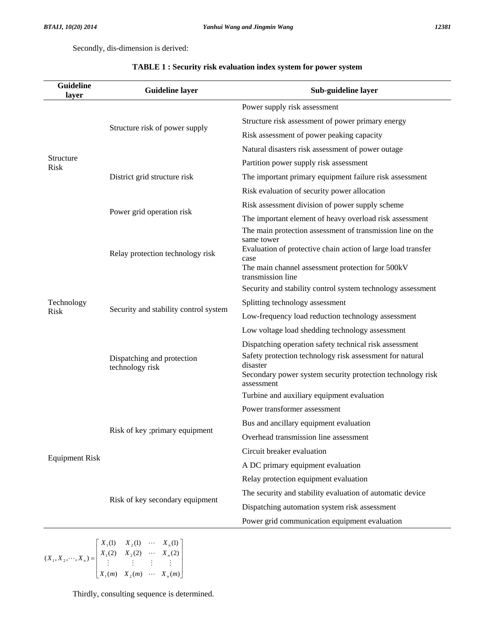Secondly, dis-dimension is derived:

| <b>Guideline</b><br>layer | <b>Guideline layer</b>                        | Sub-guideline layer                                                                                                                                                                                                                                                                      |  |  |
|---------------------------|-----------------------------------------------|------------------------------------------------------------------------------------------------------------------------------------------------------------------------------------------------------------------------------------------------------------------------------------------|--|--|
| Structure<br><b>Risk</b>  | Structure risk of power supply                | Power supply risk assessment                                                                                                                                                                                                                                                             |  |  |
|                           |                                               | Structure risk assessment of power primary energy                                                                                                                                                                                                                                        |  |  |
|                           |                                               | Risk assessment of power peaking capacity                                                                                                                                                                                                                                                |  |  |
|                           |                                               | Natural disasters risk assessment of power outage                                                                                                                                                                                                                                        |  |  |
|                           | District grid structure risk                  | Partition power supply risk assessment                                                                                                                                                                                                                                                   |  |  |
|                           |                                               | The important primary equipment failure risk assessment                                                                                                                                                                                                                                  |  |  |
|                           |                                               | Risk evaluation of security power allocation                                                                                                                                                                                                                                             |  |  |
|                           | Power grid operation risk                     | Risk assessment division of power supply scheme                                                                                                                                                                                                                                          |  |  |
|                           |                                               | The important element of heavy overload risk assessment                                                                                                                                                                                                                                  |  |  |
|                           | Relay protection technology risk              | The main protection assessment of transmission line on the<br>same tower<br>Evaluation of protective chain action of large load transfer<br>case<br>The main channel assessment protection for 500kV<br>transmission line<br>Security and stability control system technology assessment |  |  |
|                           | Security and stability control system         |                                                                                                                                                                                                                                                                                          |  |  |
| Technology<br><b>Risk</b> |                                               | Splitting technology assessment                                                                                                                                                                                                                                                          |  |  |
|                           |                                               | Low-frequency load reduction technology assessment                                                                                                                                                                                                                                       |  |  |
|                           |                                               | Low voltage load shedding technology assessment                                                                                                                                                                                                                                          |  |  |
|                           | Dispatching and protection<br>technology risk | Dispatching operation safety technical risk assessment<br>Safety protection technology risk assessment for natural<br>disaster<br>Secondary power system security protection technology risk<br>assessment                                                                               |  |  |
|                           | Risk of key ;primary equipment                | Turbine and auxiliary equipment evaluation                                                                                                                                                                                                                                               |  |  |
|                           |                                               | Power transformer assessment                                                                                                                                                                                                                                                             |  |  |
|                           |                                               | Bus and ancillary equipment evaluation                                                                                                                                                                                                                                                   |  |  |
|                           |                                               | Overhead transmission line assessment                                                                                                                                                                                                                                                    |  |  |
| <b>Equipment Risk</b>     |                                               | Circuit breaker evaluation                                                                                                                                                                                                                                                               |  |  |
|                           |                                               | A DC primary equipment evaluation                                                                                                                                                                                                                                                        |  |  |
|                           | Risk of key secondary equipment               | Relay protection equipment evaluation                                                                                                                                                                                                                                                    |  |  |
|                           |                                               | The security and stability evaluation of automatic device                                                                                                                                                                                                                                |  |  |
|                           |                                               | Dispatching automation system risk assessment                                                                                                                                                                                                                                            |  |  |
|                           |                                               | Power grid communication equipment evaluation                                                                                                                                                                                                                                            |  |  |

### **TABLE 1 : Security risk evaluation index system for power system**

 $\overline{\phantom{a}}$  $\overline{\phantom{a}}$  $\overline{\phantom{a}}$  $\overline{\phantom{a}}$  $\overline{\phantom{a}}$  $\overline{\phantom{a}}$ L L L L L L  $=$  $(m)$   $X_2(m)$   $\cdots$   $X_n(m)$  $(X_2 \cup X_2 \cup \cdots \cup X_n \cdot (2))$ (1)  $X_2(1) \cdots X_n(1)$  $(X_1, X_2, \dots, X_n)$  $1(m)$   $\Lambda_2$  $1(2)$   $\Lambda_2$  $1^{(1)}$   $A_2$  $_1$ ,  $\Lambda$ <sub>2</sub>  $X_1(m)$   $X_2(m)$   $\cdots$   $X_n(m)$  $X_1(2) = X_2(2) \cdots X_n$  $X_1(1) = X_2(1) \cdots X_n$  $X_1, X_2, \dots, X_k$ *n n n n*  $\ddot{\phantom{0}}$  $\mathbf{r} = \left( \begin{array}{ccc} 1 & 0 & 0 & 0 \\ 0 & 0 & 0 & 0 \\ 0 & 0 & 0 & 0 \end{array} \right)$  $\ddots$  $\ddots$  $\ddot{\phantom{0}}$ 

Thirdly, consulting sequence is determined.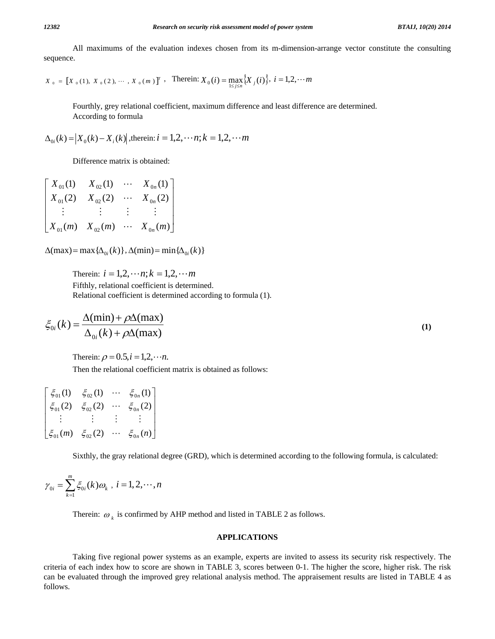All maximums of the evaluation indexes chosen from its m-dimension-arrange vector constitute the consulting sequence.

$$
X_0 = [X_0(1), X_0(2), \cdots, X_0(m)]^T
$$
, Therein:  $X_0(i) = \max_{1 \le i \le n} \{X_i(i)\}$ ,  $i = 1, 2, \cdots m$ 

 Fourthly, grey relational coefficient, maximum difference and least difference are determined. According to formula

$$
\Delta_{0i}(k) = |X_0(k) - X_i(k)|
$$
, therein:  $i = 1, 2, \dots n$ ;  $k = 1, 2, \dots m$ 

Difference matrix is obtained:

$$
\begin{bmatrix} X_{01}(1) & X_{02}(1) & \cdots & X_{0n}(1) \\ X_{01}(2) & X_{02}(2) & \cdots & X_{0n}(2) \\ \vdots & \vdots & \vdots & \vdots \\ X_{01}(m) & X_{02}(m) & \cdots & X_{0n}(m) \end{bmatrix}
$$

 $\Delta$ (max) = max { $\Delta$ <sub>0*i*</sub>(k)}</sub>,  $\Delta$ (min) = min{ $\Delta$ <sub>0*i*</sub>(k)}

Therein:  $i = 1, 2, \dots n; k = 1, 2, \dots m$  Fifthly, relational coefficient is determined. Relational coefficient is determined according to formula (1).

$$
\xi_{0i}(k) = \frac{\Delta(\min) + \rho \Delta(\max)}{\Delta_{0i}(k) + \rho \Delta(\max)}\tag{1}
$$

Therein:  $\rho = 0.5, i = 1,2, \dots n$ .

Then the relational coefficient matrix is obtained as follows:

$$
\begin{bmatrix} \xi_{01}(1) & \xi_{02}(1) & \cdots & \xi_{0n}(1) \\ \xi_{01}(2) & \xi_{02}(2) & \cdots & \xi_{0n}(2) \\ \vdots & \vdots & \vdots & \vdots \\ \xi_{01}(m) & \xi_{02}(2) & \cdots & \xi_{0n}(n) \end{bmatrix}
$$

Sixthly, the gray relational degree (GRD), which is determined according to the following formula, is calculated:

$$
\gamma_{0i} = \sum_{k=1}^{m} \xi_{0i}(k)\omega_k, \ i = 1, 2, \cdots, n
$$

Therein:  $\omega_k$  is confirmed by AHP method and listed in TABLE 2 as follows.

### **APPLICATIONS**

 Taking five regional power systems as an example, experts are invited to assess its security risk respectively. The criteria of each index how to score are shown in TABLE 3, scores between 0-1. The higher the score, higher risk. The risk can be evaluated through the improved grey relational analysis method. The appraisement results are listed in TABLE 4 as follows.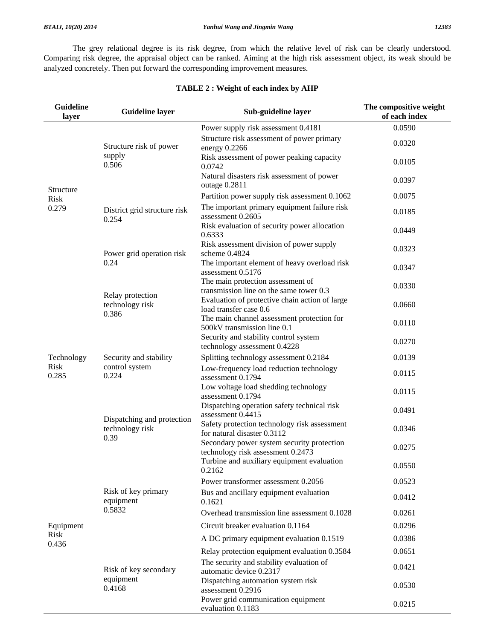The grey relational degree is its risk degree, from which the relative level of risk can be clearly understood. Comparing risk degree, the appraisal object can be ranked. Aiming at the high risk assessment object, its weak should be analyzed concretely. Then put forward the corresponding improvement measures.

| <b>Guideline</b><br>layer         | <b>Guideline layer</b>                                                                                     | Sub-guideline layer                                                             | The compositive weight<br>of each index |
|-----------------------------------|------------------------------------------------------------------------------------------------------------|---------------------------------------------------------------------------------|-----------------------------------------|
|                                   |                                                                                                            | Power supply risk assessment 0.4181                                             | 0.0590                                  |
| Structure<br><b>Risk</b><br>0.279 | Structure risk of power<br>supply<br>0.506                                                                 | Structure risk assessment of power primary<br>energy $0.2266$                   | 0.0320                                  |
|                                   |                                                                                                            | Risk assessment of power peaking capacity<br>0.0742                             | 0.0105                                  |
|                                   |                                                                                                            | Natural disasters risk assessment of power<br>outage 0.2811                     | 0.0397                                  |
|                                   | District grid structure risk<br>0.254                                                                      | Partition power supply risk assessment 0.1062                                   | 0.0075                                  |
|                                   |                                                                                                            | The important primary equipment failure risk<br>assessment 0.2605               | 0.0185                                  |
|                                   |                                                                                                            | Risk evaluation of security power allocation<br>0.6333                          | 0.0449                                  |
|                                   | Power grid operation risk<br>0.24                                                                          | Risk assessment division of power supply<br>scheme 0.4824                       | 0.0323                                  |
|                                   |                                                                                                            | The important element of heavy overload risk<br>assessment 0.5176               | 0.0347                                  |
|                                   | Relay protection<br>technology risk<br>0.386                                                               | The main protection assessment of<br>transmission line on the same tower 0.3    | 0.0330                                  |
|                                   |                                                                                                            | Evaluation of protective chain action of large<br>load transfer case 0.6        | 0.0660                                  |
|                                   |                                                                                                            | The main channel assessment protection for<br>500kV transmission line 0.1       | 0.0110                                  |
|                                   | Security and stability<br>control system<br>0.224<br>Dispatching and protection<br>technology risk<br>0.39 | Security and stability control system<br>technology assessment 0.4228           | 0.0270                                  |
| Technology                        |                                                                                                            | Splitting technology assessment 0.2184                                          | 0.0139                                  |
| <b>Risk</b><br>0.285              |                                                                                                            | Low-frequency load reduction technology<br>assessment 0.1794                    | 0.0115                                  |
|                                   |                                                                                                            | Low voltage load shedding technology<br>assessment 0.1794                       | 0.0115                                  |
|                                   |                                                                                                            | Dispatching operation safety technical risk<br>assessment 0.4415                | 0.0491                                  |
|                                   |                                                                                                            | Safety protection technology risk assessment<br>for natural disaster 0.3112     | 0.0346                                  |
|                                   |                                                                                                            | Secondary power system security protection<br>technology risk assessment 0.2473 | 0.0275                                  |
|                                   | Risk of key primary<br>equipment<br>0.5832                                                                 | Turbine and auxiliary equipment evaluation<br>0.2162                            | 0.0550                                  |
|                                   |                                                                                                            | Power transformer assessment 0.2056                                             | 0.0523                                  |
|                                   |                                                                                                            | Bus and ancillary equipment evaluation<br>0.1621                                | 0.0412                                  |
|                                   |                                                                                                            | Overhead transmission line assessment 0.1028                                    | 0.0261                                  |
| Equipment                         |                                                                                                            | Circuit breaker evaluation 0.1164                                               | 0.0296                                  |
| <b>Risk</b><br>0.436              |                                                                                                            | A DC primary equipment evaluation 0.1519                                        | 0.0386                                  |
|                                   | Risk of key secondary<br>equipment<br>0.4168                                                               | Relay protection equipment evaluation 0.3584                                    | 0.0651                                  |
|                                   |                                                                                                            | The security and stability evaluation of<br>automatic device 0.2317             | 0.0421                                  |
|                                   |                                                                                                            | Dispatching automation system risk<br>assessment 0.2916                         | 0.0530                                  |
|                                   |                                                                                                            | Power grid communication equipment<br>evaluation 0.1183                         | 0.0215                                  |

### **TABLE 2 : Weight of each index by AHP**